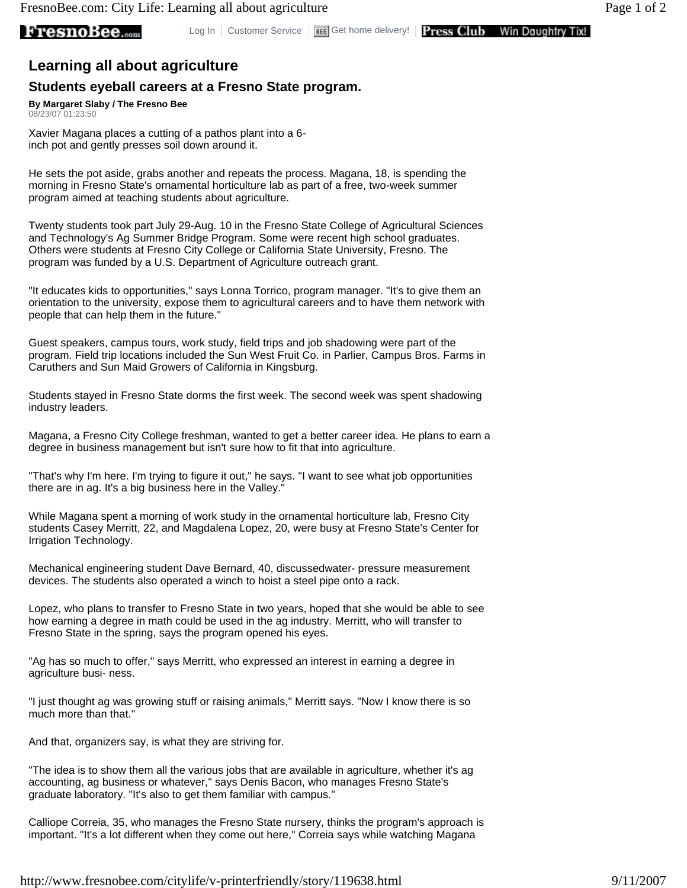## **<sub>com</sub>**

## **Learning all about agriculture**

## **Students eyeball careers at a Fresno State program.**

**By Margaret Slaby / The Fresno Bee**

08/23/07 01:23:50

Xavier Magana places a cutting of a pathos plant into a 6 inch pot and gently presses soil down around it.

He sets the pot aside, grabs another and repeats the process. Magana, 18, is spending the morning in Fresno State's ornamental horticulture lab as part of a free, two-week summer program aimed at teaching students about agriculture.

Twenty students took part July 29-Aug. 10 in the Fresno State College of Agricultural Sciences and Technology's Ag Summer Bridge Program. Some were recent high school graduates. Others were students at Fresno City College or California State University, Fresno. The program was funded by a U.S. Department of Agriculture outreach grant.

"It educates kids to opportunities," says Lonna Torrico, program manager. "It's to give them an orientation to the university, expose them to agricultural careers and to have them network with people that can help them in the future."

Guest speakers, campus tours, work study, field trips and job shadowing were part of the program. Field trip locations included the Sun West Fruit Co. in Parlier, Campus Bros. Farms in Caruthers and Sun Maid Growers of California in Kingsburg.

Students stayed in Fresno State dorms the first week. The second week was spent shadowing industry leaders.

Magana, a Fresno City College freshman, wanted to get a better career idea. He plans to earn a degree in business management but isn't sure how to fit that into agriculture.

"That's why I'm here. I'm trying to figure it out," he says. "I want to see what job opportunities there are in ag. It's a big business here in the Valley."

While Magana spent a morning of work study in the ornamental horticulture lab, Fresno City students Casey Merritt, 22, and Magdalena Lopez, 20, were busy at Fresno State's Center for Irrigation Technology.

Mechanical engineering student Dave Bernard, 40, discussedwater- pressure measurement devices. The students also operated a winch to hoist a steel pipe onto a rack.

Lopez, who plans to transfer to Fresno State in two years, hoped that she would be able to see how earning a degree in math could be used in the ag industry. Merritt, who will transfer to Fresno State in the spring, says the program opened his eyes.

"Ag has so much to offer," says Merritt, who expressed an interest in earning a degree in agriculture busi- ness.

"I just thought ag was growing stuff or raising animals," Merritt says. "Now I know there is so much more than that."

And that, organizers say, is what they are striving for.

"The idea is to show them all the various jobs that are available in agriculture, whether it's ag accounting, ag business or whatever," says Denis Bacon, who manages Fresno State's graduate laboratory. "It's also to get them familiar with campus."

Calliope Correia, 35, who manages the Fresno State nursery, thinks the program's approach is important. "It's a lot different when they come out here," Correia says while watching Magana

http://www.fresnobee.com/citylife/v-printerfriendly/story/119638.html 9/11/2007